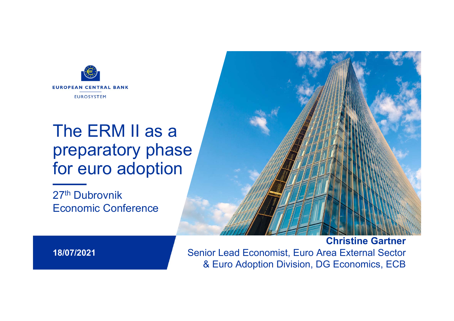

# The ERM II as a preparatory phase for euro adoption

27<sup>th</sup> Dubrovnik Economic Conference



**18/07/2021**

& Euro Adoption Division, DG Economics, ECB **Christine Gartner** Senior Lead Economist, Euro Area External Sector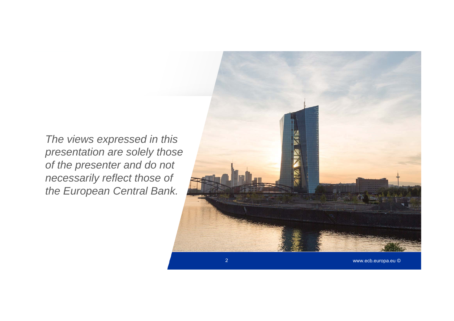*The views expressed in this presentation are solely those of the presenter and do not necessarily reflect those of the European Central Bank.*

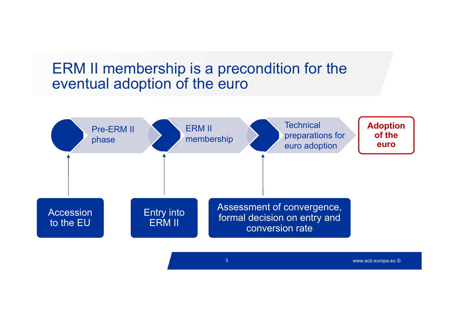#### ERM II membership is a precondition for the eventual adoption of the euro



www.ecb.europa.eu ©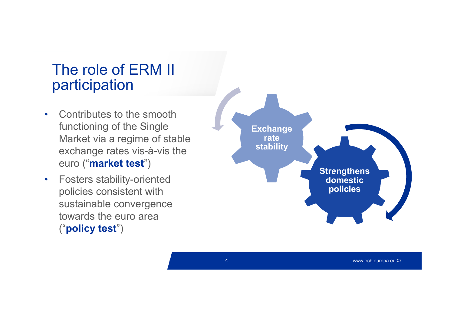### The role of ERM II participation

- • Contributes to the smooth functioning of the Single Market via a regime of stable exchange rates vis-à-vis the euro ("**market test**")
- • Fosters stability-oriented policies consistent with sustainable convergence towards the euro area ("**policy test**")



4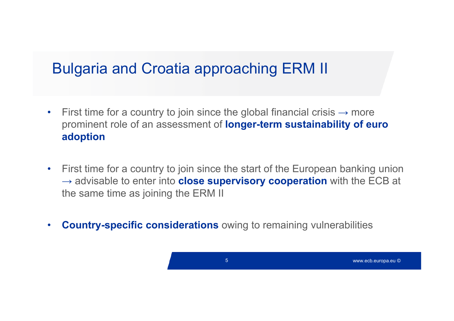## Bulgaria and Croatia approaching ERM II

- •• First time for a country to join since the global financial crisis  $\rightarrow$  more prominent role of an assessment of **longer-term sustainability of euro adoption**
- • First time for a country to join since the start of the European banking union → advisable to enter into **close supervisory cooperation** with the ECB at the same time as joining the ERM II
- •**Country-specific considerations** owing to remaining vulnerabilities

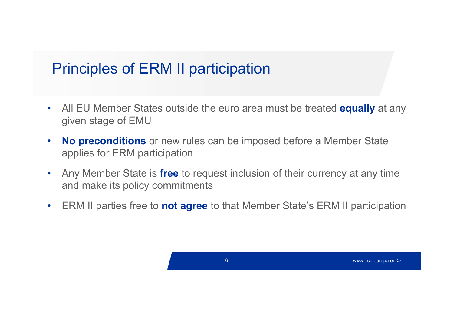## Principles of ERM II participation

- $\bullet$  All EU Member States outside the euro area must be treated **equally** at any given stage of EMU
- $\bullet$  **No preconditions** or new rules can be imposed before a Member State applies for ERM participation
- $\bullet$  Any Member State is **free** to request inclusion of their currency at any time and make its policy commitments
- $\bullet$ ERM II parties free to **not agree** to that Member State's ERM II participation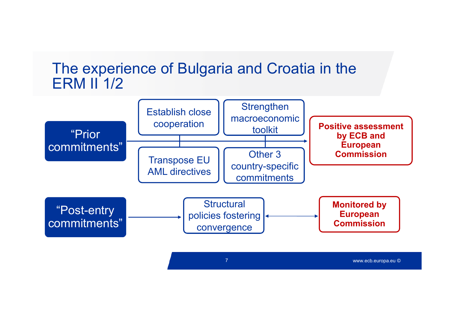#### The experience of Bulgaria and Croatia in the ERM II 1/2

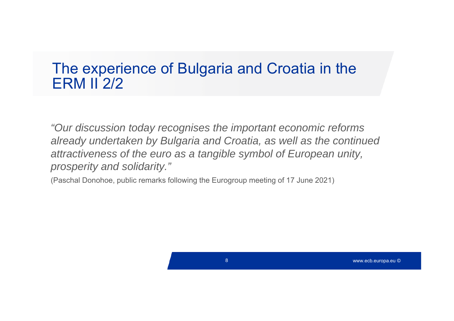#### The experience of Bulgaria and Croatia in the ERM II 2/2

*"Our discussion today recognises the important economic reforms already undertaken by Bulgaria and Croatia, as well as the continued attractiveness of the euro as a tangible symbol of European unity, prosperity and solidarity."*

(Paschal Donohoe, public remarks following the Eurogroup meeting of 17 June 2021)